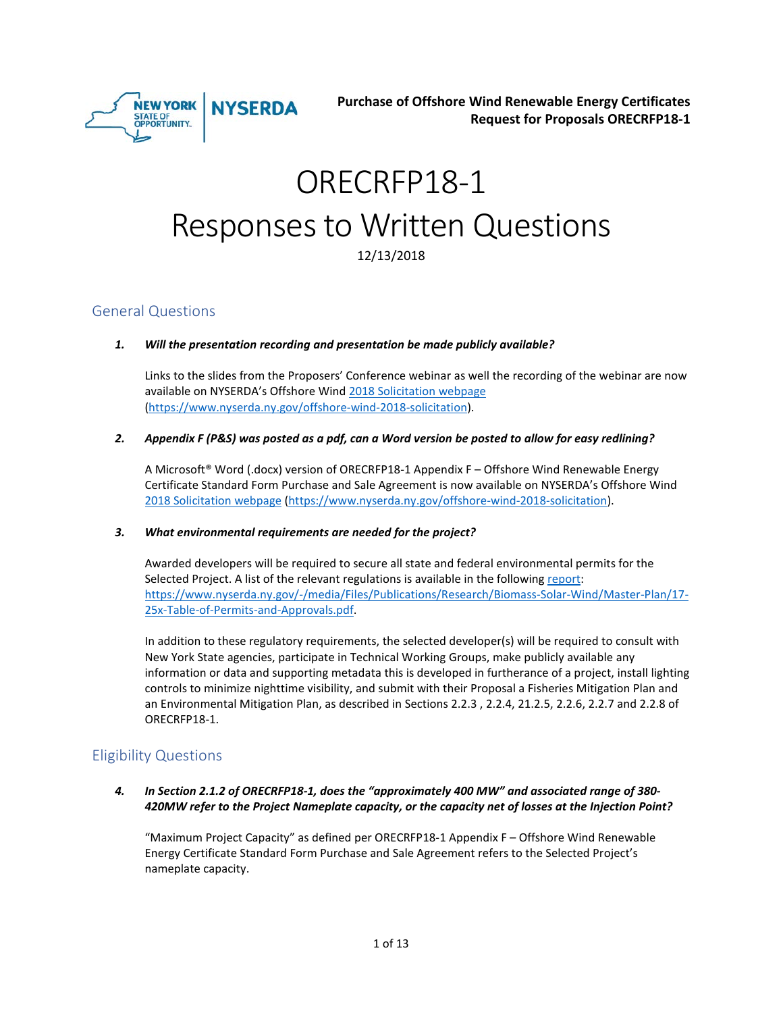

# ORECRFP18-1 Responses to Written Questions 12/13/2018

# General Questions

#### *1. Will the presentation recording and presentation be made publicly available?*

Links to the slides from the Proposers' Conference webinar as well the recording of the webinar are now available on NYSERDA's Offshore Wind [2018 Solicitation webpage](https://www.nyserda.ny.gov/offshore-wind-2018-solicitation) [\(https://www.nyserda.ny.gov/offshore-wind-2018-solicitation\)](https://www.nyserda.ny.gov/offshore-wind-2018-solicitation).

#### *2. Appendix F (P&S) was posted as a pdf, can a Word version be posted to allow for easy redlining?*

A Microsoft® Word (.docx) version of ORECRFP18-1 Appendix F – Offshore Wind Renewable Energy Certificate Standard Form Purchase and Sale Agreement is now available on NYSERDA's Offshore Wind [2018 Solicitation webpage](https://www.nyserda.ny.gov/offshore-wind-2018-solicitation) [\(https://www.nyserda.ny.gov/offshore-wind-2018-solicitation\)](https://www.nyserda.ny.gov/offshore-wind-2018-solicitation).

#### *3. What environmental requirements are needed for the project?*

Awarded developers will be required to secure all state and federal environmental permits for the Selected Project. A list of the relevant regulations is available in the followin[g report:](https://www.nyserda.ny.gov/-/media/Files/Publications/Research/Biomass-Solar-Wind/Master-Plan/17-25x-Table-of-Permits-and-Approvals.pdf) [https://www.nyserda.ny.gov/-/media/Files/Publications/Research/Biomass-Solar-Wind/Master-Plan/17-](https://www.nyserda.ny.gov/-/media/Files/Publications/Research/Biomass-Solar-Wind/Master-Plan/17-25x-Table-of-Permits-and-Approvals.pdf) [25x-Table-of-Permits-and-Approvals.pdf.](https://www.nyserda.ny.gov/-/media/Files/Publications/Research/Biomass-Solar-Wind/Master-Plan/17-25x-Table-of-Permits-and-Approvals.pdf)

In addition to these regulatory requirements, the selected developer(s) will be required to consult with New York State agencies, participate in Technical Working Groups, make publicly available any information or data and supporting metadata this is developed in furtherance of a project, install lighting controls to minimize nighttime visibility, and submit with their Proposal a Fisheries Mitigation Plan and an Environmental Mitigation Plan, as described in Sections 2.2.3 , 2.2.4, 21.2.5, 2.2.6, 2.2.7 and 2.2.8 of ORECRFP18-1.

# Eligibility Questions

*4. In Section 2.1.2 of ORECRFP18-1, does the "approximately 400 MW" and associated range of 380- 420MW refer to the Project Nameplate capacity, or the capacity net of losses at the Injection Point?*

"Maximum Project Capacity" as defined per ORECRFP18-1 Appendix F – Offshore Wind Renewable Energy Certificate Standard Form Purchase and Sale Agreement refers to the Selected Project's nameplate capacity.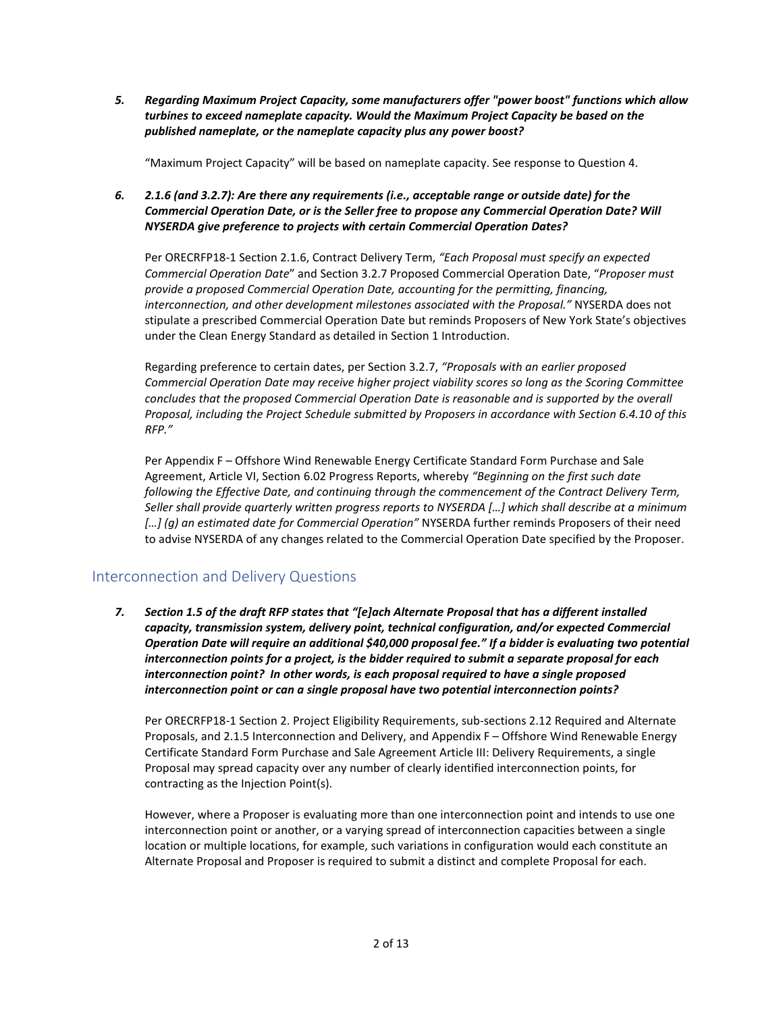*5. Regarding Maximum Project Capacity, some manufacturers offer "power boost" functions which allow turbines to exceed nameplate capacity. Would the Maximum Project Capacity be based on the published nameplate, or the nameplate capacity plus any power boost?*

"Maximum Project Capacity" will be based on nameplate capacity. See response to Question 4.

#### *6. 2.1.6 (and 3.2.7): Are there any requirements (i.e., acceptable range or outside date) for the Commercial Operation Date, or is the Seller free to propose any Commercial Operation Date? Will NYSERDA give preference to projects with certain Commercial Operation Dates?*

Per ORECRFP18-1 Section 2.1.6, Contract Delivery Term, *"Each Proposal must specify an expected Commercial Operation Date*" and Section 3.2.7 Proposed Commercial Operation Date, "*Proposer must provide a proposed Commercial Operation Date, accounting for the permitting, financing, interconnection, and other development milestones associated with the Proposal."* NYSERDA does not stipulate a prescribed Commercial Operation Date but reminds Proposers of New York State's objectives under the Clean Energy Standard as detailed in Section 1 Introduction.

Regarding preference to certain dates, per Section 3.2.7, *"Proposals with an earlier proposed Commercial Operation Date may receive higher project viability scores so long as the Scoring Committee concludes that the proposed Commercial Operation Date is reasonable and is supported by the overall Proposal, including the Project Schedule submitted by Proposers in accordance with Section 6.4.10 of this RFP."*

Per Appendix F – Offshore Wind Renewable Energy Certificate Standard Form Purchase and Sale Agreement, Article VI, Section 6.02 Progress Reports, whereby *"Beginning on the first such date following the Effective Date, and continuing through the commencement of the Contract Delivery Term, Seller shall provide quarterly written progress reports to NYSERDA […] which shall describe at a minimum […] (g) an estimated date for Commercial Operation"* NYSERDA further reminds Proposers of their need to advise NYSERDA of any changes related to the Commercial Operation Date specified by the Proposer.

## Interconnection and Delivery Questions

*7. Section 1.5 of the draft RFP states that "[e]ach Alternate Proposal that has a different installed capacity, transmission system, delivery point, technical configuration, and/or expected Commercial Operation Date will require an additional \$40,000 proposal fee." If a bidder is evaluating two potential interconnection points for a project, is the bidder required to submit a separate proposal for each interconnection point? In other words, is each proposal required to have a single proposed interconnection point or can a single proposal have two potential interconnection points?* 

Per ORECRFP18-1 Section 2. Project Eligibility Requirements, sub-sections 2.12 Required and Alternate Proposals, and 2.1.5 Interconnection and Delivery, and Appendix F – Offshore Wind Renewable Energy Certificate Standard Form Purchase and Sale Agreement Article III: Delivery Requirements, a single Proposal may spread capacity over any number of clearly identified interconnection points, for contracting as the Injection Point(s).

However, where a Proposer is evaluating more than one interconnection point and intends to use one interconnection point or another, or a varying spread of interconnection capacities between a single location or multiple locations, for example, such variations in configuration would each constitute an Alternate Proposal and Proposer is required to submit a distinct and complete Proposal for each.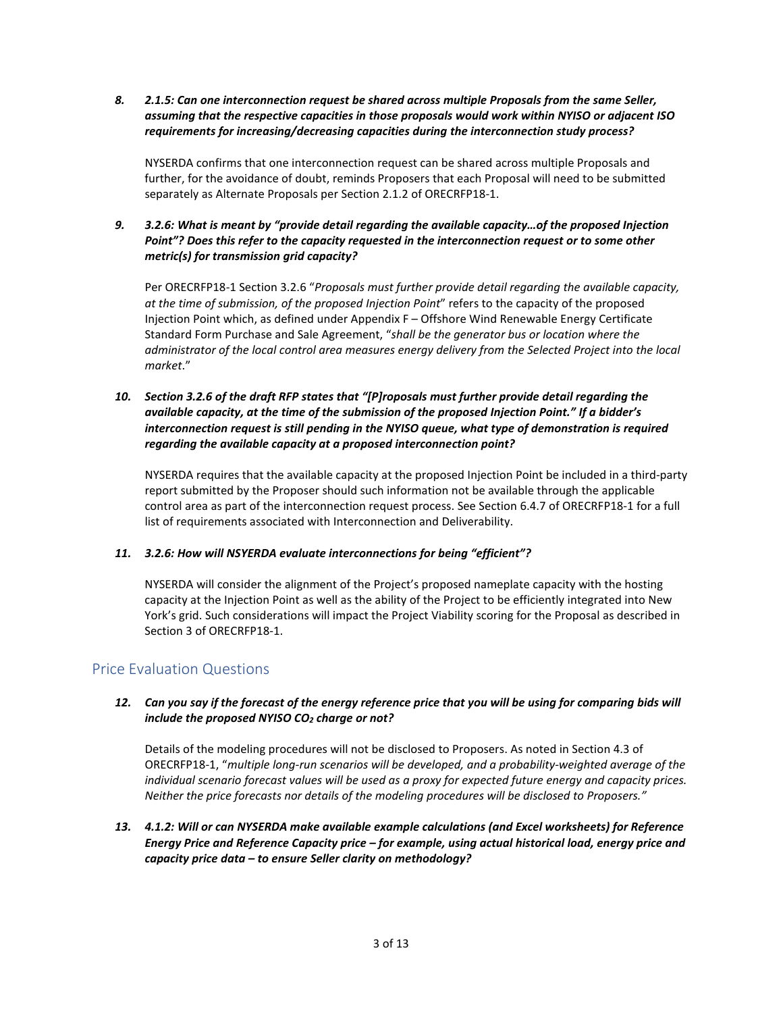*8. 2.1.5: Can one interconnection request be shared across multiple Proposals from the same Seller, assuming that the respective capacities in those proposals would work within NYISO or adjacent ISO requirements for increasing/decreasing capacities during the interconnection study process?*

NYSERDA confirms that one interconnection request can be shared across multiple Proposals and further, for the avoidance of doubt, reminds Proposers that each Proposal will need to be submitted separately as Alternate Proposals per Section 2.1.2 of ORECRFP18-1.

*9. 3.2.6: What is meant by "provide detail regarding the available capacity…of the proposed Injection Point"? Does this refer to the capacity requested in the interconnection request or to some other metric(s) for transmission grid capacity?*

Per ORECRFP18-1 Section 3.2.6 "*Proposals must further provide detail regarding the available capacity, at the time of submission, of the proposed Injection Point*" refers to the capacity of the proposed Injection Point which, as defined under Appendix F – Offshore Wind Renewable Energy Certificate Standard Form Purchase and Sale Agreement, "*shall be the generator bus or location where the administrator of the local control area measures energy delivery from the Selected Project into the local market*."

*10. Section 3.2.6 of the draft RFP states that "[P]roposals must further provide detail regarding the available capacity, at the time of the submission of the proposed Injection Point." If a bidder's interconnection request is still pending in the NYISO queue, what type of demonstration is required regarding the available capacity at a proposed interconnection point?*

NYSERDA requires that the available capacity at the proposed Injection Point be included in a third-party report submitted by the Proposer should such information not be available through the applicable control area as part of the interconnection request process. See Section 6.4.7 of ORECRFP18-1 for a full list of requirements associated with Interconnection and Deliverability.

#### *11. 3.2.6: How will NSYERDA evaluate interconnections for being "efficient"?*

NYSERDA will consider the alignment of the Project's proposed nameplate capacity with the hosting capacity at the Injection Point as well as the ability of the Project to be efficiently integrated into New York's grid. Such considerations will impact the Project Viability scoring for the Proposal as described in Section 3 of ORECRFP18-1.

# Price Evaluation Questions

#### 12. Can you say if the forecast of the energy reference price that you will be using for comparing bids will *include the proposed NYISO CO2 charge or not?*

Details of the modeling procedures will not be disclosed to Proposers. As noted in Section 4.3 of ORECRFP18-1, "*multiple long-run scenarios will be developed, and a probability-weighted average of the individual scenario forecast values will be used as a proxy for expected future energy and capacity prices. Neither the price forecasts nor details of the modeling procedures will be disclosed to Proposers."*

*13. 4.1.2: Will or can NYSERDA make available example calculations (and Excel worksheets) for Reference Energy Price and Reference Capacity price – for example, using actual historical load, energy price and capacity price data – to ensure Seller clarity on methodology?*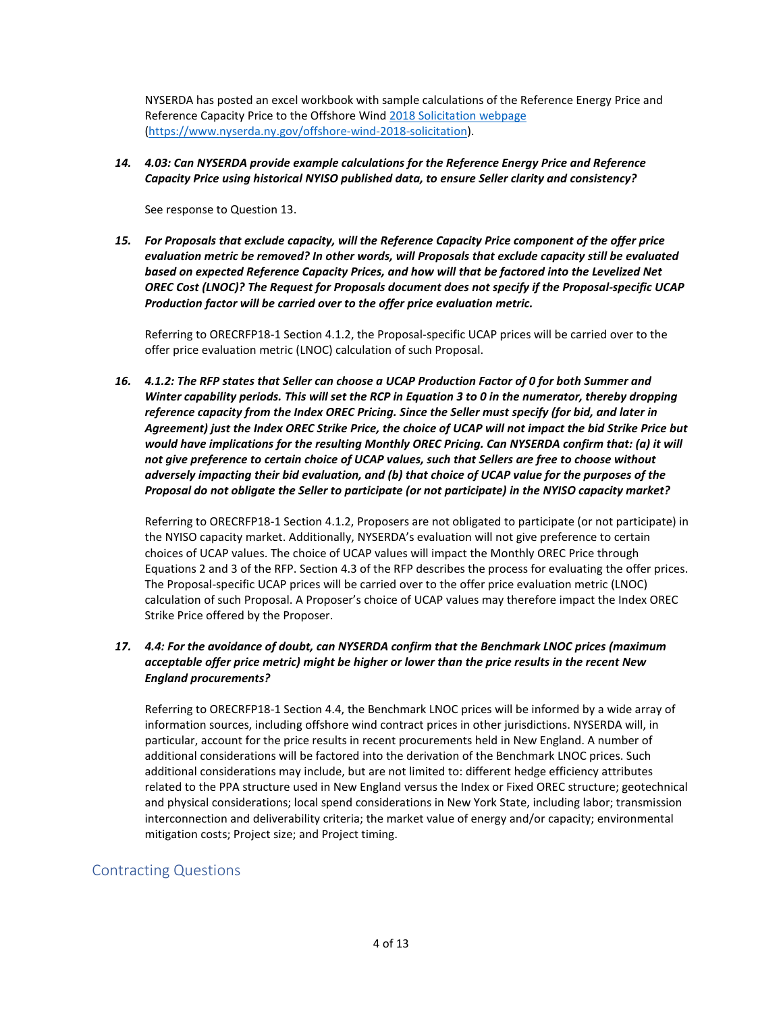NYSERDA has posted an excel workbook with sample calculations of the Reference Energy Price and Reference Capacity Price to the Offshore Wind [2018 Solicitation webpage](https://www.nyserda.ny.gov/offshore-wind-2018-solicitation) [\(https://www.nyserda.ny.gov/offshore-wind-2018-solicitation\)](https://www.nyserda.ny.gov/offshore-wind-2018-solicitation).

*14. 4.03: Can NYSERDA provide example calculations for the Reference Energy Price and Reference Capacity Price using historical NYISO published data, to ensure Seller clarity and consistency?*

See response to Question 13.

*15. For Proposals that exclude capacity, will the Reference Capacity Price component of the offer price evaluation metric be removed? In other words, will Proposals that exclude capacity still be evaluated based on expected Reference Capacity Prices, and how will that be factored into the Levelized Net OREC Cost (LNOC)? The Request for Proposals document does not specify if the Proposal-specific UCAP Production factor will be carried over to the offer price evaluation metric.* 

Referring to ORECRFP18-1 Section 4.1.2, the Proposal-specific UCAP prices will be carried over to the offer price evaluation metric (LNOC) calculation of such Proposal.

*16. 4.1.2: The RFP states that Seller can choose a UCAP Production Factor of 0 for both Summer and Winter capability periods. This will set the RCP in Equation 3 to 0 in the numerator, thereby dropping reference capacity from the Index OREC Pricing. Since the Seller must specify (for bid, and later in Agreement) just the Index OREC Strike Price, the choice of UCAP will not impact the bid Strike Price but would have implications for the resulting Monthly OREC Pricing. Can NYSERDA confirm that: (a) it will not give preference to certain choice of UCAP values, such that Sellers are free to choose without adversely impacting their bid evaluation, and (b) that choice of UCAP value for the purposes of the Proposal do not obligate the Seller to participate (or not participate) in the NYISO capacity market?*

Referring to ORECRFP18-1 Section 4.1.2, Proposers are not obligated to participate (or not participate) in the NYISO capacity market. Additionally, NYSERDA's evaluation will not give preference to certain choices of UCAP values. The choice of UCAP values will impact the Monthly OREC Price through Equations 2 and 3 of the RFP. Section 4.3 of the RFP describes the process for evaluating the offer prices. The Proposal-specific UCAP prices will be carried over to the offer price evaluation metric (LNOC) calculation of such Proposal. A Proposer's choice of UCAP values may therefore impact the Index OREC Strike Price offered by the Proposer.

*17. 4.4: For the avoidance of doubt, can NYSERDA confirm that the Benchmark LNOC prices (maximum acceptable offer price metric) might be higher or lower than the price results in the recent New England procurements?*

Referring to ORECRFP18-1 Section 4.4, the Benchmark LNOC prices will be informed by a wide array of information sources, including offshore wind contract prices in other jurisdictions. NYSERDA will, in particular, account for the price results in recent procurements held in New England. A number of additional considerations will be factored into the derivation of the Benchmark LNOC prices. Such additional considerations may include, but are not limited to: different hedge efficiency attributes related to the PPA structure used in New England versus the Index or Fixed OREC structure; geotechnical and physical considerations; local spend considerations in New York State, including labor; transmission interconnection and deliverability criteria; the market value of energy and/or capacity; environmental mitigation costs; Project size; and Project timing.

## Contracting Questions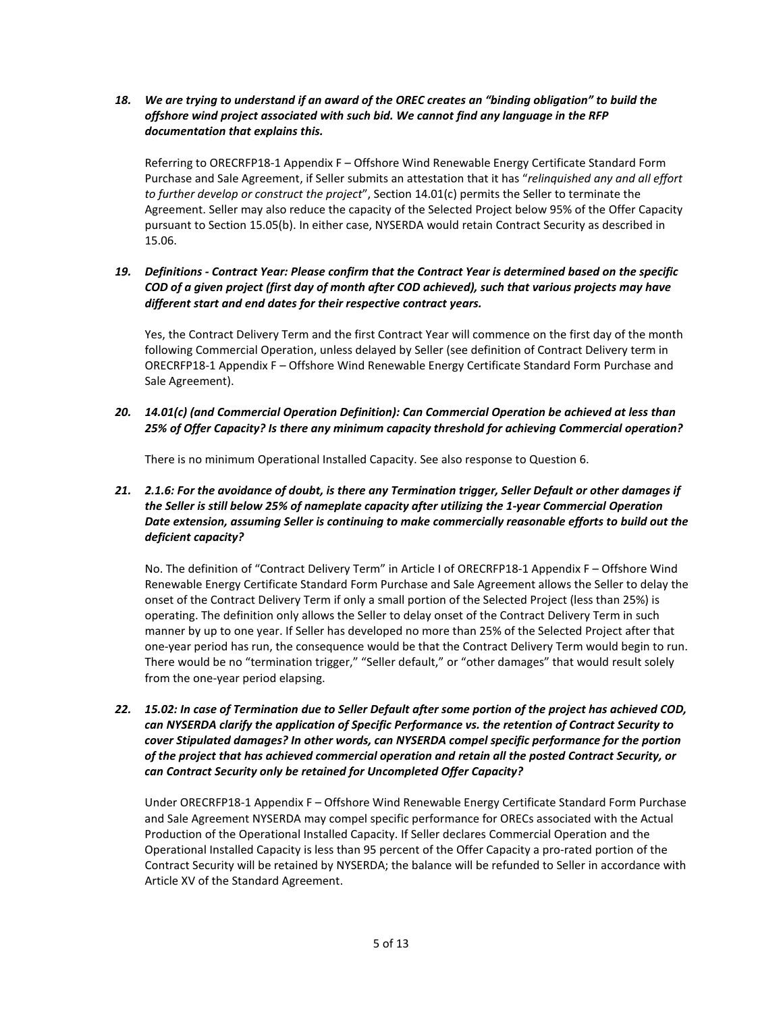#### *18. We are trying to understand if an award of the OREC creates an "binding obligation" to build the offshore wind project associated with such bid. We cannot find any language in the RFP documentation that explains this.*

Referring to ORECRFP18-1 Appendix F – Offshore Wind Renewable Energy Certificate Standard Form Purchase and Sale Agreement, if Seller submits an attestation that it has "*relinquished any and all effort to further develop or construct the project*", Section 14.01(c) permits the Seller to terminate the Agreement. Seller may also reduce the capacity of the Selected Project below 95% of the Offer Capacity pursuant to Section 15.05(b). In either case, NYSERDA would retain Contract Security as described in 15.06.

#### *19. Definitions - Contract Year: Please confirm that the Contract Year is determined based on the specific COD of a given project (first day of month after COD achieved), such that various projects may have different start and end dates for their respective contract years.*

Yes, the Contract Delivery Term and the first Contract Year will commence on the first day of the month following Commercial Operation, unless delayed by Seller (see definition of Contract Delivery term in ORECRFP18-1 Appendix F – Offshore Wind Renewable Energy Certificate Standard Form Purchase and Sale Agreement).

*20. 14.01(c) (and Commercial Operation Definition): Can Commercial Operation be achieved at less than 25% of Offer Capacity? Is there any minimum capacity threshold for achieving Commercial operation?*

There is no minimum Operational Installed Capacity. See also response to Question 6.

*21. 2.1.6: For the avoidance of doubt, is there any Termination trigger, Seller Default or other damages if the Seller is still below 25% of nameplate capacity after utilizing the 1-year Commercial Operation Date extension, assuming Seller is continuing to make commercially reasonable efforts to build out the deficient capacity?*

No. The definition of "Contract Delivery Term" in Article I of ORECRFP18-1 Appendix F – Offshore Wind Renewable Energy Certificate Standard Form Purchase and Sale Agreement allows the Seller to delay the onset of the Contract Delivery Term if only a small portion of the Selected Project (less than 25%) is operating. The definition only allows the Seller to delay onset of the Contract Delivery Term in such manner by up to one year. If Seller has developed no more than 25% of the Selected Project after that one-year period has run, the consequence would be that the Contract Delivery Term would begin to run. There would be no "termination trigger," "Seller default," or "other damages" that would result solely from the one-year period elapsing.

*22. 15.02: In case of Termination due to Seller Default after some portion of the project has achieved COD, can NYSERDA clarify the application of Specific Performance vs. the retention of Contract Security to cover Stipulated damages? In other words, can NYSERDA compel specific performance for the portion of the project that has achieved commercial operation and retain all the posted Contract Security, or can Contract Security only be retained for Uncompleted Offer Capacity?*

Under ORECRFP18-1 Appendix F – Offshore Wind Renewable Energy Certificate Standard Form Purchase and Sale Agreement NYSERDA may compel specific performance for ORECs associated with the Actual Production of the Operational Installed Capacity. If Seller declares Commercial Operation and the Operational Installed Capacity is less than 95 percent of the Offer Capacity a pro-rated portion of the Contract Security will be retained by NYSERDA; the balance will be refunded to Seller in accordance with Article XV of the Standard Agreement.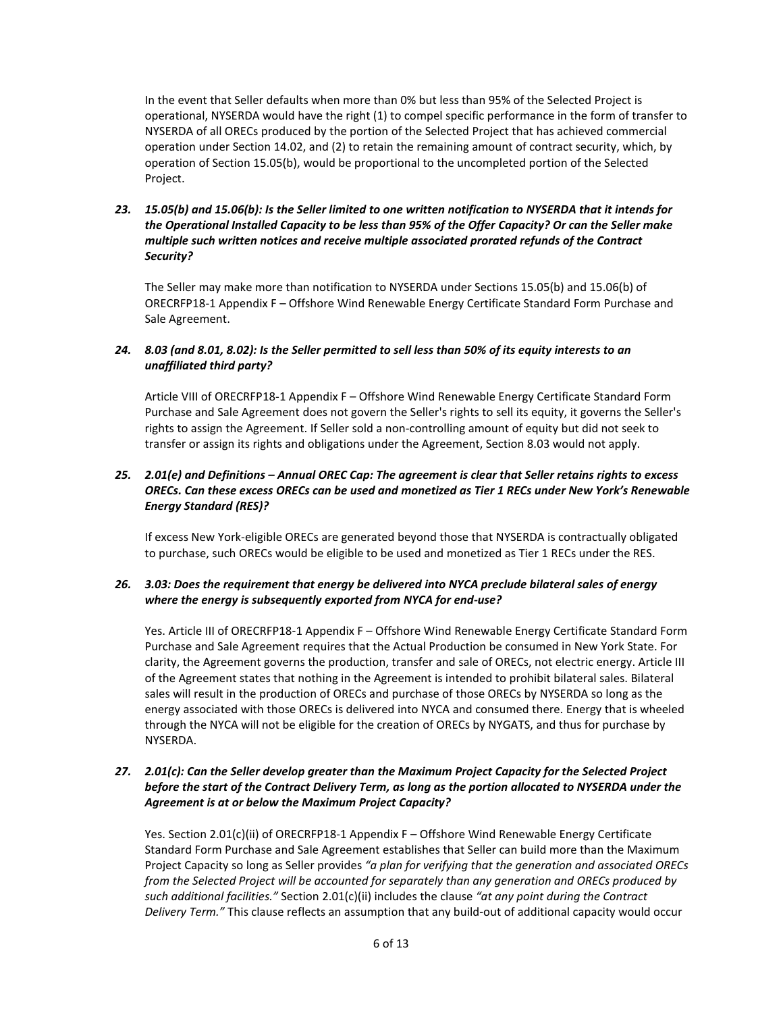In the event that Seller defaults when more than 0% but less than 95% of the Selected Project is operational, NYSERDA would have the right (1) to compel specific performance in the form of transfer to NYSERDA of all ORECs produced by the portion of the Selected Project that has achieved commercial operation under Section 14.02, and (2) to retain the remaining amount of contract security, which, by operation of Section 15.05(b), would be proportional to the uncompleted portion of the Selected Project.

*23. 15.05(b) and 15.06(b): Is the Seller limited to one written notification to NYSERDA that it intends for the Operational Installed Capacity to be less than 95% of the Offer Capacity? Or can the Seller make multiple such written notices and receive multiple associated prorated refunds of the Contract Security?*

The Seller may make more than notification to NYSERDA under Sections 15.05(b) and 15.06(b) of ORECRFP18-1 Appendix F – Offshore Wind Renewable Energy Certificate Standard Form Purchase and Sale Agreement.

#### *24. 8.03 (and 8.01, 8.02): Is the Seller permitted to sell less than 50% of its equity interests to an unaffiliated third party?*

Article VIII of ORECRFP18-1 Appendix F – Offshore Wind Renewable Energy Certificate Standard Form Purchase and Sale Agreement does not govern the Seller's rights to sell its equity, it governs the Seller's rights to assign the Agreement. If Seller sold a non-controlling amount of equity but did not seek to transfer or assign its rights and obligations under the Agreement, Section 8.03 would not apply.

#### *25. 2.01(e) and Definitions – Annual OREC Cap: The agreement is clear that Seller retains rights to excess ORECs. Can these excess ORECs can be used and monetized as Tier 1 RECs under New York's Renewable Energy Standard (RES)?*

If excess New York-eligible ORECs are generated beyond those that NYSERDA is contractually obligated to purchase, such ORECs would be eligible to be used and monetized as Tier 1 RECs under the RES.

#### *26. 3.03: Does the requirement that energy be delivered into NYCA preclude bilateral sales of energy where the energy is subsequently exported from NYCA for end-use?*

Yes. Article III of ORECRFP18-1 Appendix F - Offshore Wind Renewable Energy Certificate Standard Form Purchase and Sale Agreement requires that the Actual Production be consumed in New York State. For clarity, the Agreement governs the production, transfer and sale of ORECs, not electric energy. Article III of the Agreement states that nothing in the Agreement is intended to prohibit bilateral sales. Bilateral sales will result in the production of ORECs and purchase of those ORECs by NYSERDA so long as the energy associated with those ORECs is delivered into NYCA and consumed there. Energy that is wheeled through the NYCA will not be eligible for the creation of ORECs by NYGATS, and thus for purchase by NYSERDA.

#### *27. 2.01(c): Can the Seller develop greater than the Maximum Project Capacity for the Selected Project before the start of the Contract Delivery Term, as long as the portion allocated to NYSERDA under the Agreement is at or below the Maximum Project Capacity?*

Yes. Section 2.01(c)(ii) of ORECRFP18-1 Appendix F – Offshore Wind Renewable Energy Certificate Standard Form Purchase and Sale Agreement establishes that Seller can build more than the Maximum Project Capacity so long as Seller provides *"a plan for verifying that the generation and associated ORECs from the Selected Project will be accounted for separately than any generation and ORECs produced by such additional facilities."* Section 2.01(c)(ii) includes the clause *"at any point during the Contract Delivery Term."* This clause reflects an assumption that any build-out of additional capacity would occur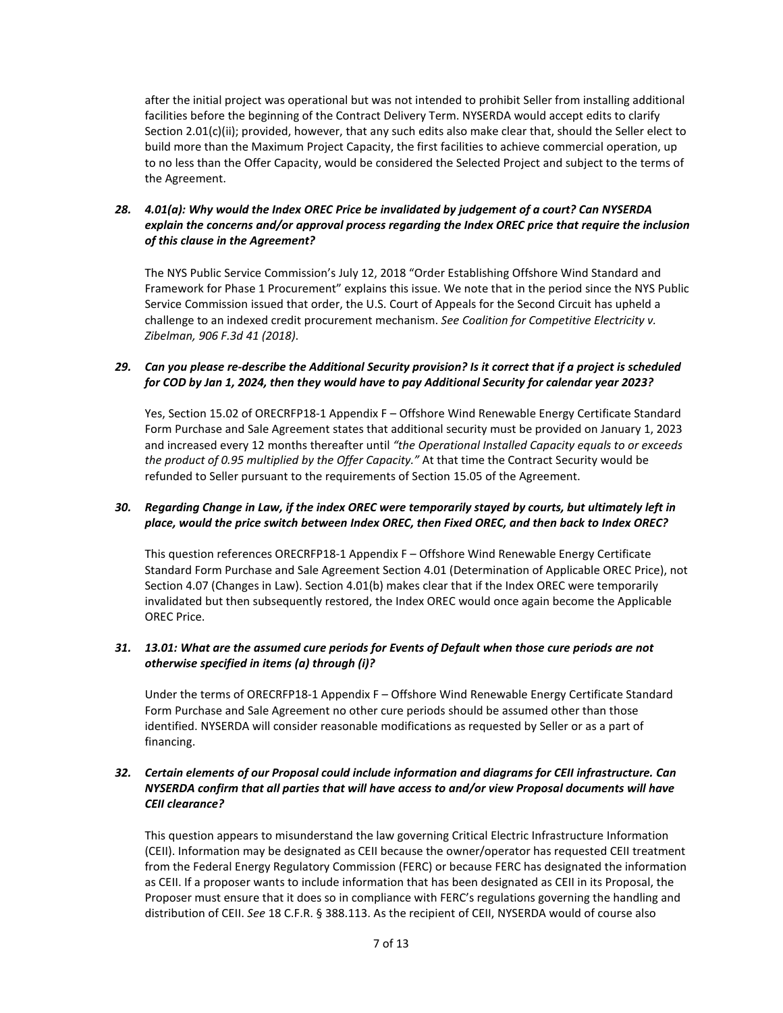after the initial project was operational but was not intended to prohibit Seller from installing additional facilities before the beginning of the Contract Delivery Term. NYSERDA would accept edits to clarify Section 2.01(c)(ii); provided, however, that any such edits also make clear that, should the Seller elect to build more than the Maximum Project Capacity, the first facilities to achieve commercial operation, up to no less than the Offer Capacity, would be considered the Selected Project and subject to the terms of the Agreement.

#### *28. 4.01(a): Why would the Index OREC Price be invalidated by judgement of a court? Can NYSERDA explain the concerns and/or approval process regarding the Index OREC price that require the inclusion of this clause in the Agreement?*

The NYS Public Service Commission's July 12, 2018 "Order Establishing Offshore Wind Standard and Framework for Phase 1 Procurement" explains this issue. We note that in the period since the NYS Public Service Commission issued that order, the U.S. Court of Appeals for the Second Circuit has upheld a challenge to an indexed credit procurement mechanism. *See Coalition for Competitive Electricity v. Zibelman, 906 F.3d 41 (2018)*.

#### *29. Can you please re-describe the Additional Security provision? Is it correct that if a project is scheduled for COD by Jan 1, 2024, then they would have to pay Additional Security for calendar year 2023?*

Yes, Section 15.02 of ORECRFP18-1 Appendix F – Offshore Wind Renewable Energy Certificate Standard Form Purchase and Sale Agreement states that additional security must be provided on January 1, 2023 and increased every 12 months thereafter until *"the Operational Installed Capacity equals to or exceeds the product of 0.95 multiplied by the Offer Capacity."* At that time the Contract Security would be refunded to Seller pursuant to the requirements of Section 15.05 of the Agreement.

#### *30. Regarding Change in Law, if the index OREC were temporarily stayed by courts, but ultimately left in place, would the price switch between Index OREC, then Fixed OREC, and then back to Index OREC?*

This question references ORECRFP18-1 Appendix F – Offshore Wind Renewable Energy Certificate Standard Form Purchase and Sale Agreement Section 4.01 (Determination of Applicable OREC Price), not Section 4.07 (Changes in Law). Section 4.01(b) makes clear that if the Index OREC were temporarily invalidated but then subsequently restored, the Index OREC would once again become the Applicable OREC Price.

#### *31. 13.01: What are the assumed cure periods for Events of Default when those cure periods are not otherwise specified in items (a) through (i)?*

Under the terms of ORECRFP18-1 Appendix F – Offshore Wind Renewable Energy Certificate Standard Form Purchase and Sale Agreement no other cure periods should be assumed other than those identified. NYSERDA will consider reasonable modifications as requested by Seller or as a part of financing.

#### *32. Certain elements of our Proposal could include information and diagrams for CEII infrastructure. Can NYSERDA confirm that all parties that will have access to and/or view Proposal documents will have CEII clearance?*

This question appears to misunderstand the law governing Critical Electric Infrastructure Information (CEII). Information may be designated as CEII because the owner/operator has requested CEII treatment from the Federal Energy Regulatory Commission (FERC) or because FERC has designated the information as CEII. If a proposer wants to include information that has been designated as CEII in its Proposal, the Proposer must ensure that it does so in compliance with FERC's regulations governing the handling and distribution of CEII. *See* 18 C.F.R. § 388.113. As the recipient of CEII, NYSERDA would of course also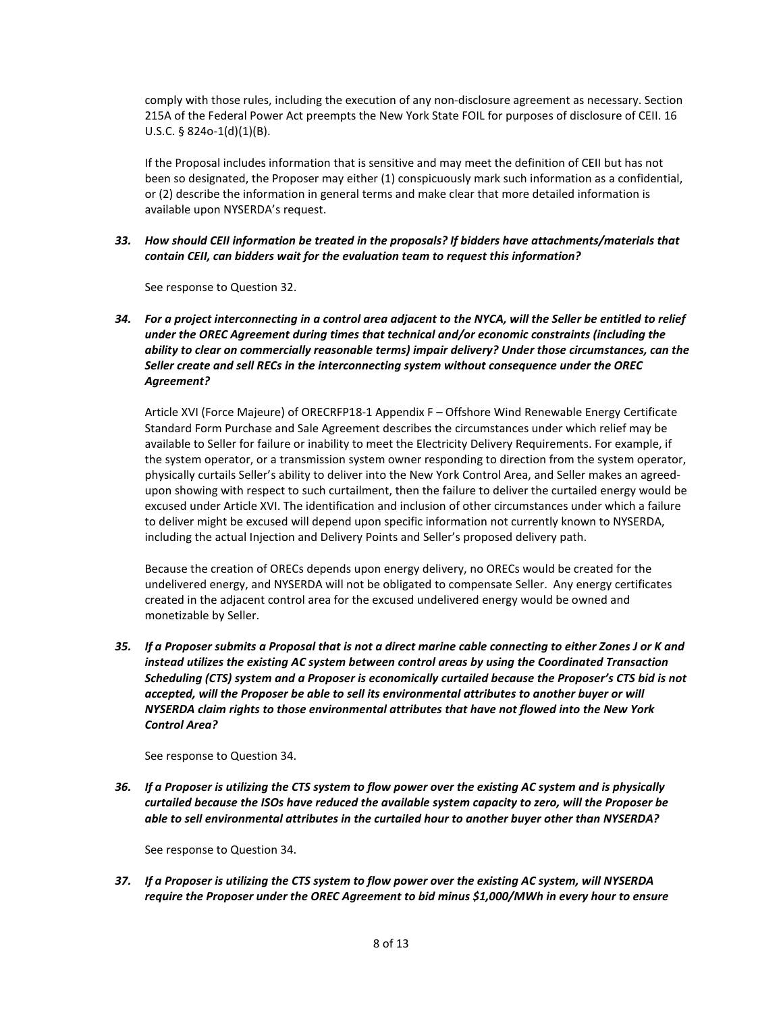comply with those rules, including the execution of any non-disclosure agreement as necessary. Section 215A of the Federal Power Act preempts the New York State FOIL for purposes of disclosure of CEII. 16 U.S.C. § 824o-1(d)(1)(B).

If the Proposal includes information that is sensitive and may meet the definition of CEII but has not been so designated, the Proposer may either (1) conspicuously mark such information as a confidential, or (2) describe the information in general terms and make clear that more detailed information is available upon NYSERDA's request.

*33. How should CEII information be treated in the proposals? If bidders have attachments/materials that contain CEII, can bidders wait for the evaluation team to request this information?*

See response to Question 32.

*34. For a project interconnecting in a control area adjacent to the NYCA, will the Seller be entitled to relief under the OREC Agreement during times that technical and/or economic constraints (including the ability to clear on commercially reasonable terms) impair delivery? Under those circumstances, can the Seller create and sell RECs in the interconnecting system without consequence under the OREC Agreement?*

Article XVI (Force Majeure) of ORECRFP18-1 Appendix F – Offshore Wind Renewable Energy Certificate Standard Form Purchase and Sale Agreement describes the circumstances under which relief may be available to Seller for failure or inability to meet the Electricity Delivery Requirements. For example, if the system operator, or a transmission system owner responding to direction from the system operator, physically curtails Seller's ability to deliver into the New York Control Area, and Seller makes an agreedupon showing with respect to such curtailment, then the failure to deliver the curtailed energy would be excused under Article XVI. The identification and inclusion of other circumstances under which a failure to deliver might be excused will depend upon specific information not currently known to NYSERDA, including the actual Injection and Delivery Points and Seller's proposed delivery path.

Because the creation of ORECs depends upon energy delivery, no ORECs would be created for the undelivered energy, and NYSERDA will not be obligated to compensate Seller. Any energy certificates created in the adjacent control area for the excused undelivered energy would be owned and monetizable by Seller.

*35. If a Proposer submits a Proposal that is not a direct marine cable connecting to either Zones J or K and instead utilizes the existing AC system between control areas by using the Coordinated Transaction Scheduling (CTS) system and a Proposer is economically curtailed because the Proposer's CTS bid is not accepted, will the Proposer be able to sell its environmental attributes to another buyer or will NYSERDA claim rights to those environmental attributes that have not flowed into the New York Control Area?*

See response to Question 34.

*36. If a Proposer is utilizing the CTS system to flow power over the existing AC system and is physically curtailed because the ISOs have reduced the available system capacity to zero, will the Proposer be able to sell environmental attributes in the curtailed hour to another buyer other than NYSERDA?*

See response to Question 34.

*37. If a Proposer is utilizing the CTS system to flow power over the existing AC system, will NYSERDA require the Proposer under the OREC Agreement to bid minus \$1,000/MWh in every hour to ensure*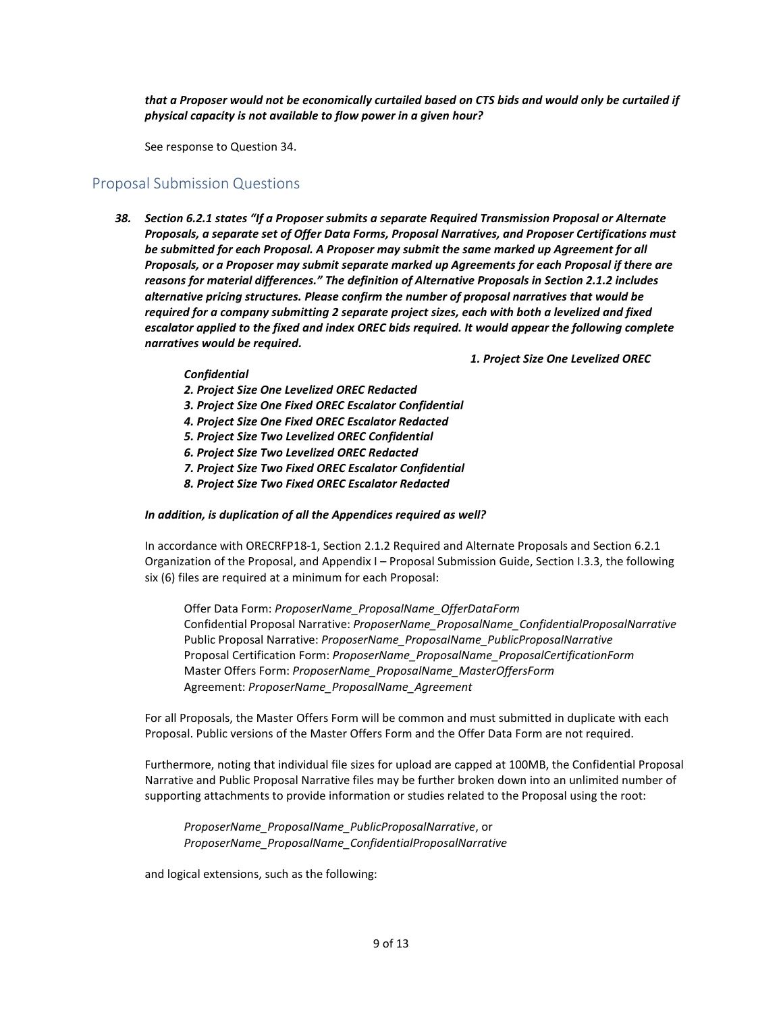*that a Proposer would not be economically curtailed based on CTS bids and would only be curtailed if physical capacity is not available to flow power in a given hour?*

See response to Question 34.

## Proposal Submission Questions

*38. Section 6.2.1 states "If a Proposer submits a separate Required Transmission Proposal or Alternate Proposals, a separate set of Offer Data Forms, Proposal Narratives, and Proposer Certifications must be submitted for each Proposal. A Proposer may submit the same marked up Agreement for all Proposals, or a Proposer may submit separate marked up Agreements for each Proposal if there are reasons for material differences." The definition of Alternative Proposals in Section 2.1.2 includes alternative pricing structures. Please confirm the number of proposal narratives that would be required for a company submitting 2 separate project sizes, each with both a levelized and fixed escalator applied to the fixed and index OREC bids required. It would appear the following complete narratives would be required.* 

 *1. Project Size One Levelized OREC* 

#### *Confidential*

- *2. Project Size One Levelized OREC Redacted*
- *3. Project Size One Fixed OREC Escalator Confidential*
- *4. Project Size One Fixed OREC Escalator Redacted*
- *5. Project Size Two Levelized OREC Confidential*
- *6. Project Size Two Levelized OREC Redacted*
- *7. Project Size Two Fixed OREC Escalator Confidential*
- *8. Project Size Two Fixed OREC Escalator Redacted*

#### *In addition, is duplication of all the Appendices required as well?*

In accordance with ORECRFP18-1, Section 2.1.2 Required and Alternate Proposals and Section 6.2.1 Organization of the Proposal, and Appendix I – Proposal Submission Guide, Section I.3.3, the following six (6) files are required at a minimum for each Proposal:

Offer Data Form: *ProposerName\_ProposalName\_OfferDataForm* Confidential Proposal Narrative: *ProposerName\_ProposalName\_ConfidentialProposalNarrative* Public Proposal Narrative: *ProposerName\_ProposalName\_PublicProposalNarrative* Proposal Certification Form: *ProposerName\_ProposalName\_ProposalCertificationForm* Master Offers Form: *ProposerName\_ProposalName\_MasterOffersForm* Agreement: *ProposerName\_ProposalName\_Agreement*

For all Proposals, the Master Offers Form will be common and must submitted in duplicate with each Proposal. Public versions of the Master Offers Form and the Offer Data Form are not required.

Furthermore, noting that individual file sizes for upload are capped at 100MB, the Confidential Proposal Narrative and Public Proposal Narrative files may be further broken down into an unlimited number of supporting attachments to provide information or studies related to the Proposal using the root:

*ProposerName\_ProposalName\_PublicProposalNarrative*, or *ProposerName\_ProposalName\_ConfidentialProposalNarrative*

and logical extensions, such as the following: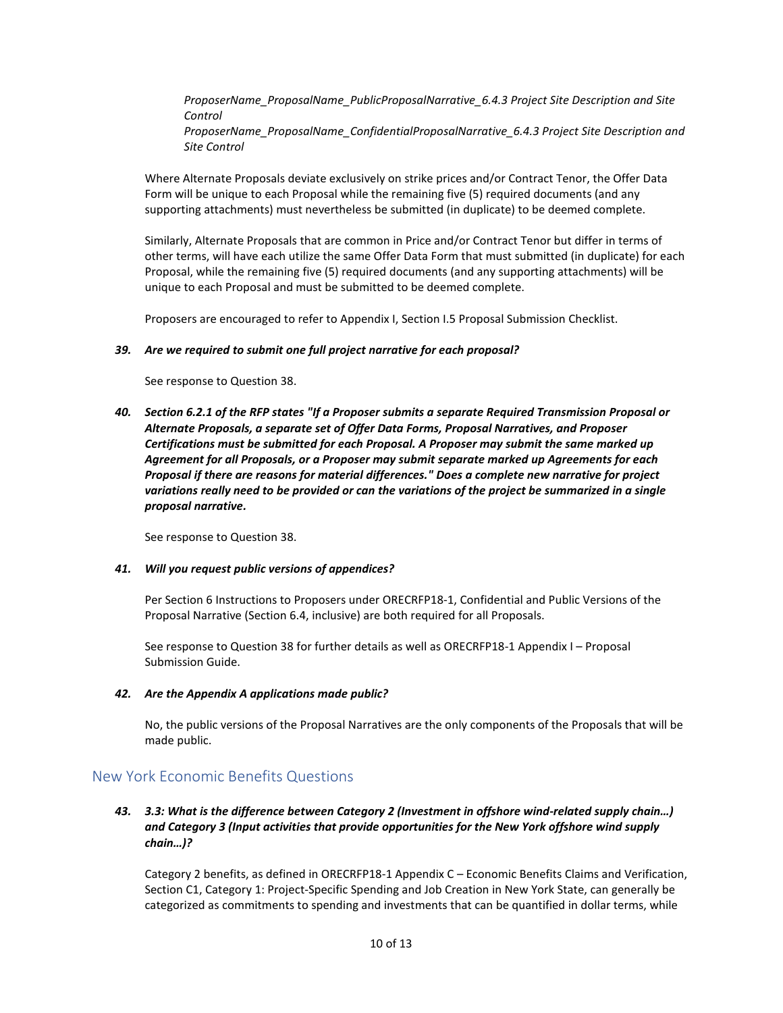*ProposerName\_ProposalName\_PublicProposalNarrative\_6.4.3 Project Site Description and Site Control ProposerName\_ProposalName\_ConfidentialProposalNarrative\_6.4.3 Project Site Description and Site Control*

Where Alternate Proposals deviate exclusively on strike prices and/or Contract Tenor, the Offer Data Form will be unique to each Proposal while the remaining five (5) required documents (and any supporting attachments) must nevertheless be submitted (in duplicate) to be deemed complete.

Similarly, Alternate Proposals that are common in Price and/or Contract Tenor but differ in terms of other terms, will have each utilize the same Offer Data Form that must submitted (in duplicate) for each Proposal, while the remaining five (5) required documents (and any supporting attachments) will be unique to each Proposal and must be submitted to be deemed complete.

Proposers are encouraged to refer to Appendix I, Section I.5 Proposal Submission Checklist.

#### *39. Are we required to submit one full project narrative for each proposal?*

See response to Question 38.

*40. Section 6.2.1 of the RFP states "If a Proposer submits a separate Required Transmission Proposal or Alternate Proposals, a separate set of Offer Data Forms, Proposal Narratives, and Proposer Certifications must be submitted for each Proposal. A Proposer may submit the same marked up Agreement for all Proposals, or a Proposer may submit separate marked up Agreements for each Proposal if there are reasons for material differences." Does a complete new narrative for project variations really need to be provided or can the variations of the project be summarized in a single proposal narrative.* 

See response to Question 38.

#### *41. Will you request public versions of appendices?*

Per Section 6 Instructions to Proposers under ORECRFP18-1, Confidential and Public Versions of the Proposal Narrative (Section 6.4, inclusive) are both required for all Proposals.

See response to Question 38 for further details as well as ORECRFP18-1 Appendix I – Proposal Submission Guide.

#### *42. Are the Appendix A applications made public?*

No, the public versions of the Proposal Narratives are the only components of the Proposals that will be made public.

# New York Economic Benefits Questions

#### *43. 3.3: What is the difference between Category 2 (Investment in offshore wind-related supply chain…) and Category 3 (Input activities that provide opportunities for the New York offshore wind supply chain…)?*

Category 2 benefits, as defined in ORECRFP18-1 Appendix C – Economic Benefits Claims and Verification, Section C1, Category 1: Project-Specific Spending and Job Creation in New York State, can generally be categorized as commitments to spending and investments that can be quantified in dollar terms, while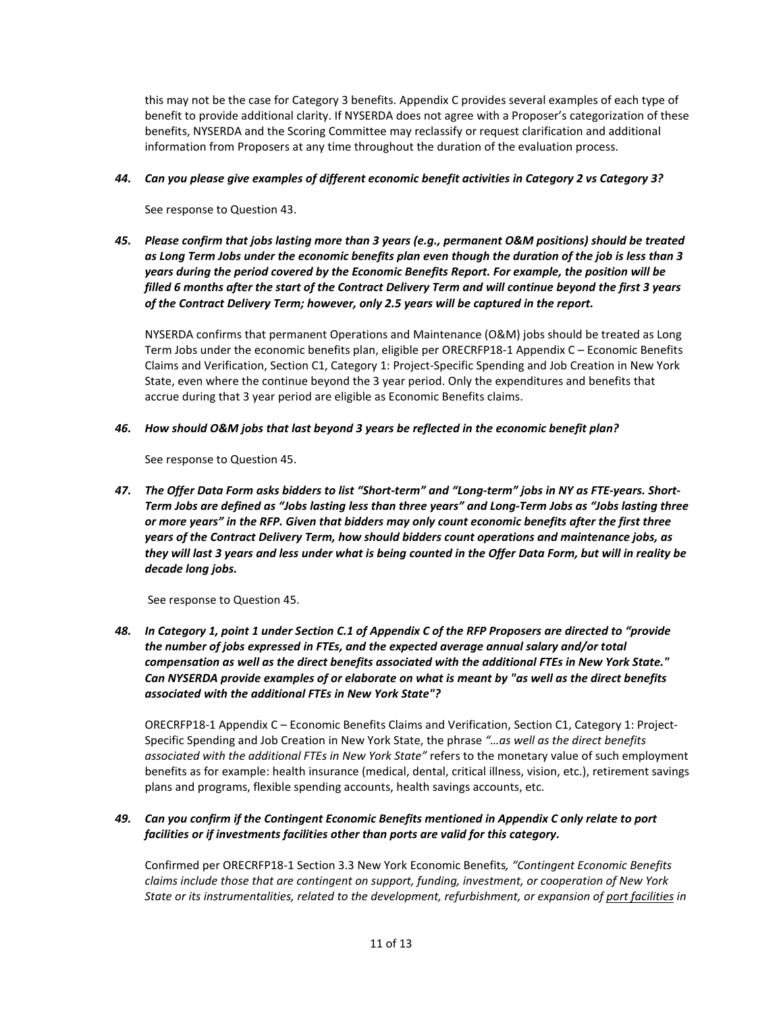this may not be the case for Category 3 benefits. Appendix C provides several examples of each type of benefit to provide additional clarity. If NYSERDA does not agree with a Proposer's categorization of these benefits, NYSERDA and the Scoring Committee may reclassify or request clarification and additional information from Proposers at any time throughout the duration of the evaluation process.

#### *44. Can you please give examples of different economic benefit activities in Category 2 vs Category 3?*

See response to Question 43.

*45. Please confirm that jobs lasting more than 3 years (e.g., permanent O&M positions) should be treated as Long Term Jobs under the economic benefits plan even though the duration of the job is less than 3 years during the period covered by the Economic Benefits Report. For example, the position will be filled 6 months after the start of the Contract Delivery Term and will continue beyond the first 3 years of the Contract Delivery Term; however, only 2.5 years will be captured in the report.*

NYSERDA confirms that permanent Operations and Maintenance (O&M) jobs should be treated as Long Term Jobs under the economic benefits plan, eligible per ORECRFP18-1 Appendix C – Economic Benefits Claims and Verification, Section C1, Category 1: Project-Specific Spending and Job Creation in New York State, even where the continue beyond the 3 year period. Only the expenditures and benefits that accrue during that 3 year period are eligible as Economic Benefits claims.

*46. How should O&M jobs that last beyond 3 years be reflected in the economic benefit plan?*

See response to Question 45.

*47. The Offer Data Form asks bidders to list "Short-term" and "Long-term" jobs in NY as FTE-years. Short-Term Jobs are defined as "Jobs lasting less than three years" and Long-Term Jobs as "Jobs lasting three or more years" in the RFP. Given that bidders may only count economic benefits after the first three years of the Contract Delivery Term, how should bidders count operations and maintenance jobs, as they will last 3 years and less under what is being counted in the Offer Data Form, but will in reality be decade long jobs.*

See response to Question 45.

*48. In Category 1, point 1 under Section C.1 of Appendix C of the RFP Proposers are directed to "provide the number of jobs expressed in FTEs, and the expected average annual salary and/or total compensation as well as the direct benefits associated with the additional FTEs in New York State." Can NYSERDA provide examples of or elaborate on what is meant by "as well as the direct benefits associated with the additional FTEs in New York State"?*

ORECRFP18-1 Appendix C – Economic Benefits Claims and Verification, Section C1, Category 1: Project-Specific Spending and Job Creation in New York State, the phrase *"…as well as the direct benefits associated with the additional FTEs in New York State"* refers to the monetary value of such employment benefits as for example: health insurance (medical, dental, critical illness, vision, etc.), retirement savings plans and programs, flexible spending accounts, health savings accounts, etc.

#### *49. Can you confirm if the Contingent Economic Benefits mentioned in Appendix C only relate to port facilities or if investments facilities other than ports are valid for this category.*

Confirmed per ORECRFP18-1 Section 3.3 New York Economic Benefits*, "Contingent Economic Benefits claims include those that are contingent on support, funding, investment, or cooperation of New York State or its instrumentalities, related to the development, refurbishment, or expansion of port facilities in*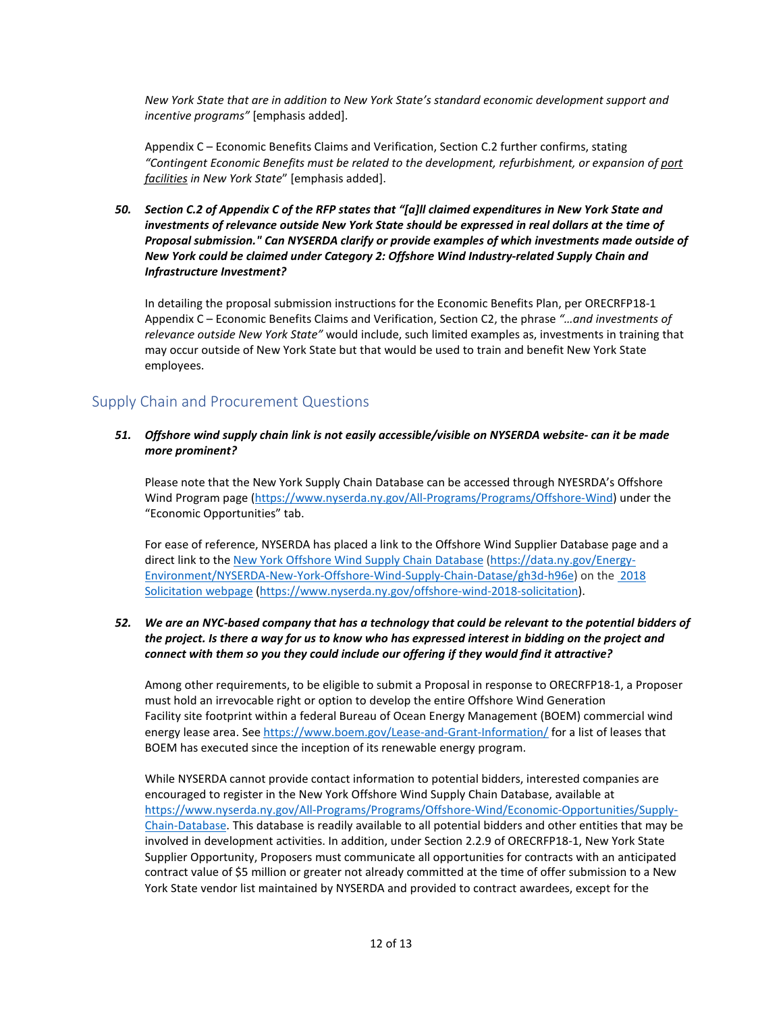*New York State that are in addition to New York State's standard economic development support and incentive programs"* [emphasis added].

Appendix C – Economic Benefits Claims and Verification, Section C.2 further confirms, stating *"Contingent Economic Benefits must be related to the development, refurbishment, or expansion of port facilities in New York State*" [emphasis added].

*50. Section C.2 of Appendix C of the RFP states that "[a]ll claimed expenditures in New York State and investments of relevance outside New York State should be expressed in real dollars at the time of Proposal submission." Can NYSERDA clarify or provide examples of which investments made outside of New York could be claimed under Category 2: Offshore Wind Industry-related Supply Chain and Infrastructure Investment?*

In detailing the proposal submission instructions for the Economic Benefits Plan, per ORECRFP18-1 Appendix C – Economic Benefits Claims and Verification, Section C2, the phrase *"…and investments of relevance outside New York State"* would include, such limited examples as, investments in training that may occur outside of New York State but that would be used to train and benefit New York State employees.

# Supply Chain and Procurement Questions

#### *51. Offshore wind supply chain link is not easily accessible/visible on NYSERDA website- can it be made more prominent?*

Please note that the New York Supply Chain Database can be accessed through NYESRDA's Offshore Wind Program page [\(https://www.nyserda.ny.gov/All-Programs/Programs/Offshore-Wind\)](https://www.nyserda.ny.gov/All-Programs/Programs/Offshore-Wind) under the "Economic Opportunities" tab.

For ease of reference, NYSERDA has placed a link to the Offshore Wind Supplier Database page and a direct link to th[e New York Offshore Wind Supply Chain Database](https://data.ny.gov/Energy-Environment/NYSERDA-New-York-Offshore-Wind-Supply-Chain-Datase/gh3d-h96e) [\(https://data.ny.gov/Energy-](https://data.ny.gov/Energy-Environment/NYSERDA-New-York-Offshore-Wind-Supply-Chain-Datase/gh3d-h96e)[Environment/NYSERDA-New-York-Offshore-Wind-Supply-Chain-Datase/gh3d-h96e\)](https://data.ny.gov/Energy-Environment/NYSERDA-New-York-Offshore-Wind-Supply-Chain-Datase/gh3d-h96e) on the [2018](https://www.nyserda.ny.gov/offshore-wind-2018-solicitation)  [Solicitation webpage](https://www.nyserda.ny.gov/offshore-wind-2018-solicitation) [\(https://www.nyserda.ny.gov/offshore-wind-2018-solicitation\)](https://www.nyserda.ny.gov/offshore-wind-2018-solicitation).

#### *52. We are an NYC-based company that has a technology that could be relevant to the potential bidders of the project. Is there a way for us to know who has expressed interest in bidding on the project and connect with them so you they could include our offering if they would find it attractive?*

Among other requirements, to be eligible to submit a Proposal in response to ORECRFP18-1, a Proposer must hold an irrevocable right or option to develop the entire Offshore Wind Generation Facility site footprint within a federal Bureau of Ocean Energy Management (BOEM) commercial wind energy lease area. See<https://www.boem.gov/Lease-and-Grant-Information/> for a list of leases that BOEM has executed since the inception of its renewable energy program.

While NYSERDA cannot provide contact information to potential bidders, interested companies are encouraged to register in the New York Offshore Wind Supply Chain Database, available at [https://www.nyserda.ny.gov/All-Programs/Programs/Offshore-Wind/Economic-Opportunities/Supply-](https://www.nyserda.ny.gov/All-Programs/Programs/Offshore-Wind/Economic-Opportunities/Supply-Chain-Database)[Chain-Database.](https://www.nyserda.ny.gov/All-Programs/Programs/Offshore-Wind/Economic-Opportunities/Supply-Chain-Database) This database is readily available to all potential bidders and other entities that may be involved in development activities. In addition, under Section 2.2.9 of ORECRFP18-1, New York State Supplier Opportunity, Proposers must communicate all opportunities for contracts with an anticipated contract value of \$5 million or greater not already committed at the time of offer submission to a New York State vendor list maintained by NYSERDA and provided to contract awardees, except for the